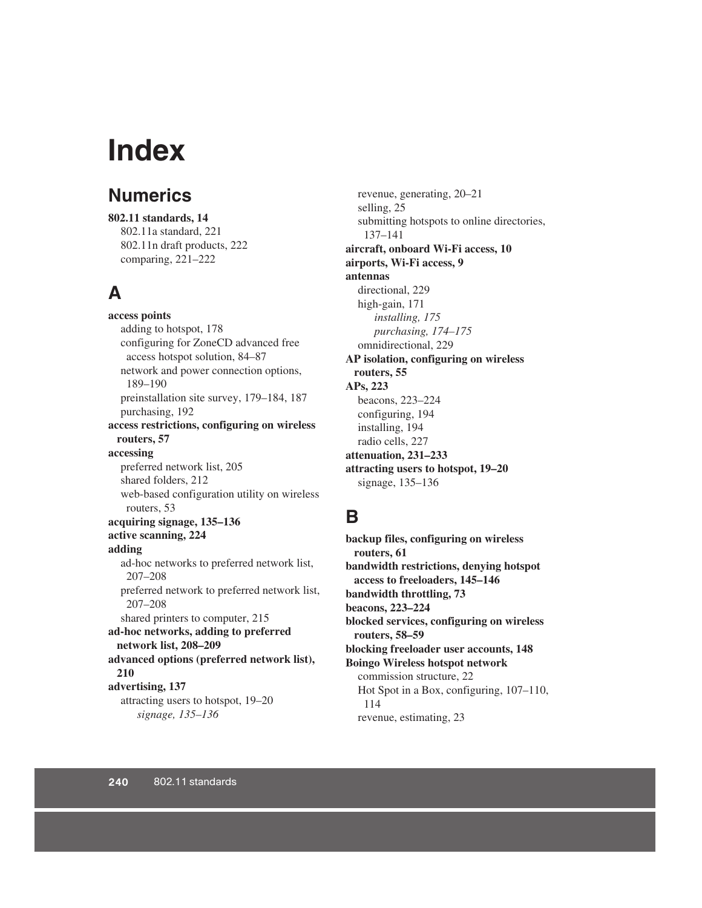# **Index**

#### **Numerics**

**802.11 standards, 14** 802.11a standard, 221 802.11n draft products, 222 comparing, 221–222

#### **A**

**access points** adding to hotspot, 178 configuring for ZoneCD advanced free access hotspot solution, 84–87 network and power connection options, 189–190 preinstallation site survey, 179–184, 187 purchasing, 192 **access restrictions, configuring on wireless routers, 57 accessing** preferred network list, 205 shared folders, 212 web-based configuration utility on wireless routers, 53 **acquiring signage, 135–136 active scanning, 224 adding** ad-hoc networks to preferred network list, 207–208 preferred network to preferred network list, 207–208 shared printers to computer, 215 **ad-hoc networks, adding to preferred network list, 208–209 advanced options (preferred network list), 210 advertising, 137** attracting users to hotspot, 19–20 *signage, 135–136*

revenue, generating, 20–21 selling, 25 submitting hotspots to online directories, 137–141 **aircraft, onboard Wi-Fi access, 10 airports, Wi-Fi access, 9 antennas** directional, 229 high-gain, 171 *installing, 175 purchasing, 174–175* omnidirectional, 229 **AP isolation, configuring on wireless routers, 55 APs, 223** beacons, 223–224 configuring, 194 installing, 194 radio cells, 227 **attenuation, 231–233 attracting users to hotspot, 19–20** signage, 135–136

#### **B**

**backup files, configuring on wireless routers, 61 bandwidth restrictions, denying hotspot access to freeloaders, 145–146 bandwidth throttling, 73 beacons, 223–224 blocked services, configuring on wireless routers, 58–59 blocking freeloader user accounts, 148 Boingo Wireless hotspot network** commission structure, 22 Hot Spot in a Box, configuring, 107–110, 114 revenue, estimating, 23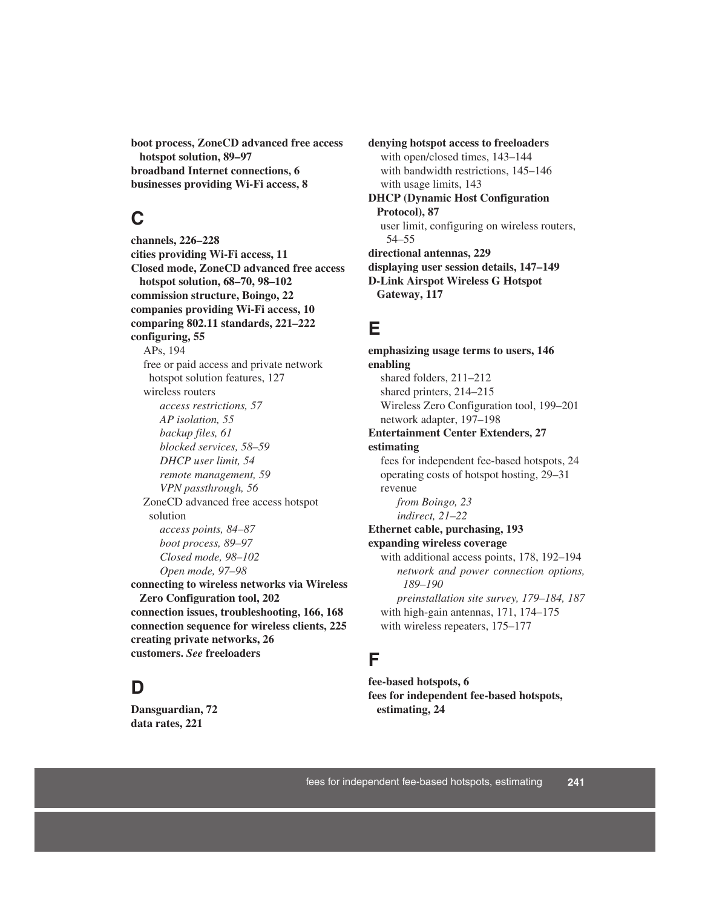**boot process, ZoneCD advanced free access hotspot solution, 89–97 broadband Internet connections, 6 businesses providing Wi-Fi access, 8**

#### **C**

**channels, 226–228 cities providing Wi-Fi access, 11 Closed mode, ZoneCD advanced free access hotspot solution, 68–70, 98–102 commission structure, Boingo, 22 companies providing Wi-Fi access, 10 comparing 802.11 standards, 221–222 configuring, 55** APs, 194 free or paid access and private network hotspot solution features, 127 wireless routers *access restrictions, 57 AP isolation, 55 backup files, 61 blocked services, 58–59 DHCP user limit, 54 remote management, 59 VPN passthrough, 56* ZoneCD advanced free access hotspot solution *access points, 84–87 boot process, 89–97 Closed mode, 98–102 Open mode, 97–98* **connecting to wireless networks via Wireless Zero Configuration tool, 202 connection issues, troubleshooting, 166, 168 connection sequence for wireless clients, 225 creating private networks, 26**

#### **D**

**Dansguardian, 72 data rates, 221**

**customers.** *See* **freeloaders**

**denying hotspot access to freeloaders** with open/closed times, 143–144 with bandwidth restrictions, 145–146 with usage limits, 143 **DHCP (Dynamic Host Configuration Protocol), 87** user limit, configuring on wireless routers, 54–55 **directional antennas, 229 displaying user session details, 147–149 D-Link Airspot Wireless G Hotspot Gateway, 117**

#### **E**

**emphasizing usage terms to users, 146 enabling** shared folders, 211–212 shared printers, 214–215 Wireless Zero Configuration tool, 199–201 network adapter, 197–198 **Entertainment Center Extenders, 27 estimating** fees for independent fee-based hotspots, 24 operating costs of hotspot hosting, 29–31 revenue *from Boingo, 23 indirect, 21–22* **Ethernet cable, purchasing, 193 expanding wireless coverage** with additional access points, 178, 192–194 *network and power connection options, 189–190 preinstallation site survey, 179–184, 187* with high-gain antennas, 171, 174–175 with wireless repeaters, 175–177

#### **F**

**fee-based hotspots, 6 fees for independent fee-based hotspots, estimating, 24**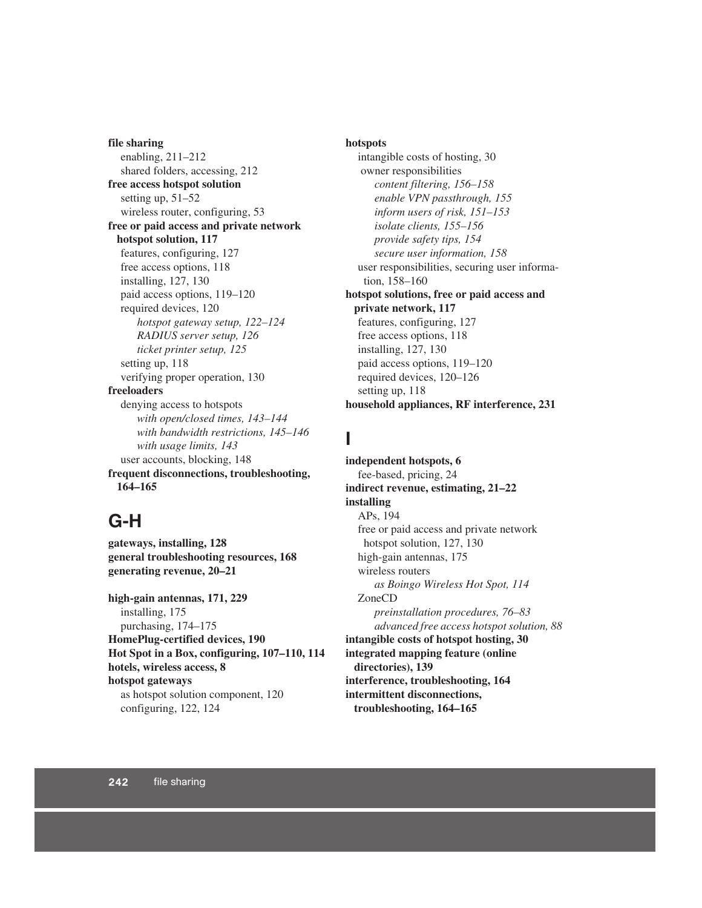**file sharing** enabling, 211–212 shared folders, accessing, 212 **free access hotspot solution** setting up, 51–52 wireless router, configuring, 53 **free or paid access and private network hotspot solution, 117** features, configuring, 127 free access options, 118 installing, 127, 130 paid access options, 119–120 required devices, 120 *hotspot gateway setup, 122–124 RADIUS server setup, 126 ticket printer setup, 125* setting up, 118 verifying proper operation, 130 **freeloaders** denying access to hotspots *with open/closed times, 143–144 with bandwidth restrictions, 145–146 with usage limits, 143* user accounts, blocking, 148 **frequent disconnections, troubleshooting, 164–165**

#### **G-H**

**gateways, installing, 128 general troubleshooting resources, 168 generating revenue, 20–21**

**high-gain antennas, 171, 229** installing, 175 purchasing, 174–175 **HomePlug-certified devices, 190 Hot Spot in a Box, configuring, 107–110, 114 hotels, wireless access, 8 hotspot gateways** as hotspot solution component, 120 configuring, 122, 124

#### **hotspots**

intangible costs of hosting, 30 owner responsibilities *content filtering, 156–158 enable VPN passthrough, 155 inform users of risk, 151–153 isolate clients, 155–156 provide safety tips, 154 secure user information, 158* user responsibilities, securing user information, 158–160 **hotspot solutions, free or paid access and private network, 117** features, configuring, 127 free access options, 118 installing, 127, 130 paid access options, 119–120 required devices, 120–126 setting up, 118 **household appliances, RF interference, 231**

#### **I**

**independent hotspots, 6** fee-based, pricing, 24 **indirect revenue, estimating, 21–22 installing** APs, 194 free or paid access and private network hotspot solution, 127, 130 high-gain antennas, 175 wireless routers *as Boingo Wireless Hot Spot, 114* ZoneCD *preinstallation procedures, 76–83 advanced free access hotspot solution, 88* **intangible costs of hotspot hosting, 30 integrated mapping feature (online directories), 139 interference, troubleshooting, 164 intermittent disconnections,** 

 **troubleshooting, 164–165**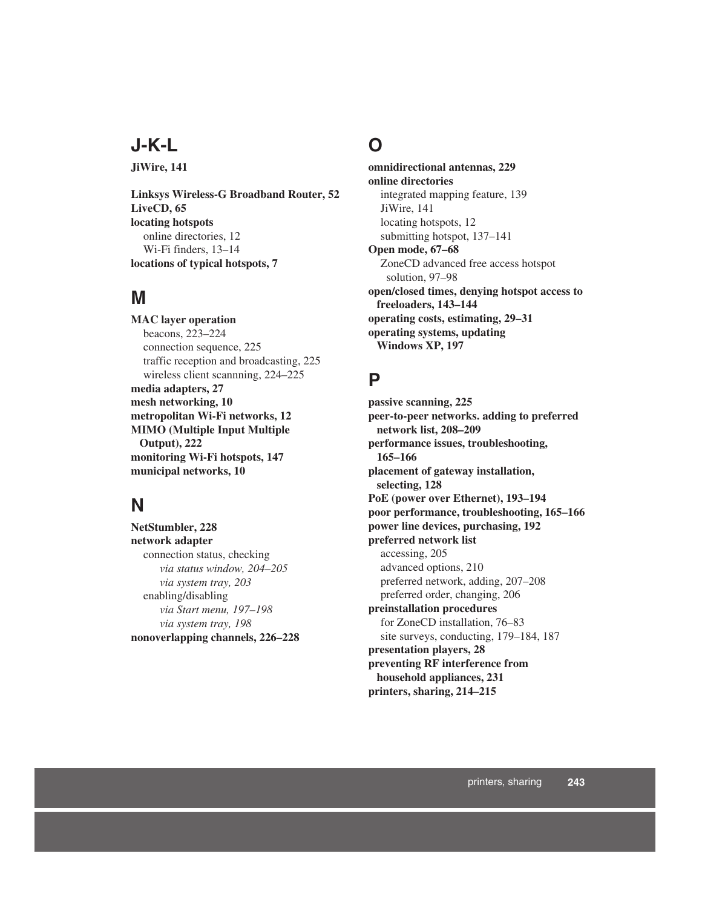### **J-K-L**

**JiWire, 141**

**Linksys Wireless-G Broadband Router, 52 LiveCD, 65 locating hotspots** online directories, 12 Wi-Fi finders, 13–14 **locations of typical hotspots, 7**

#### **M**

**MAC layer operation** beacons, 223–224 connection sequence, 225 traffic reception and broadcasting, 225 wireless client scannning, 224–225 **media adapters, 27 mesh networking, 10 metropolitan Wi-Fi networks, 12 MIMO (Multiple Input Multiple Output), 222 monitoring Wi-Fi hotspots, 147 municipal networks, 10**

### **N**

**NetStumbler, 228 network adapter** connection status, checking *via status window, 204–205 via system tray, 203* enabling/disabling *via Start menu, 197–198 via system tray, 198* **nonoverlapping channels, 226–228**

#### **O**

**omnidirectional antennas, 229 online directories** integrated mapping feature, 139 JiWire, 141 locating hotspots, 12 submitting hotspot, 137–141 **Open mode, 67–68** ZoneCD advanced free access hotspot solution, 97–98 **open/closed times, denying hotspot access to freeloaders, 143–144 operating costs, estimating, 29–31 operating systems, updating Windows XP, 197**

#### **P**

**passive scanning, 225 peer-to-peer networks. adding to preferred network list, 208–209 performance issues, troubleshooting, 165–166 placement of gateway installation, selecting, 128 PoE (power over Ethernet), 193–194 poor performance, troubleshooting, 165–166 power line devices, purchasing, 192 preferred network list** accessing, 205 advanced options, 210 preferred network, adding, 207–208 preferred order, changing, 206 **preinstallation procedures**  for ZoneCD installation, 76–83 site surveys, conducting, 179–184, 187 **presentation players, 28 preventing RF interference from household appliances, 231 printers, sharing, 214–215**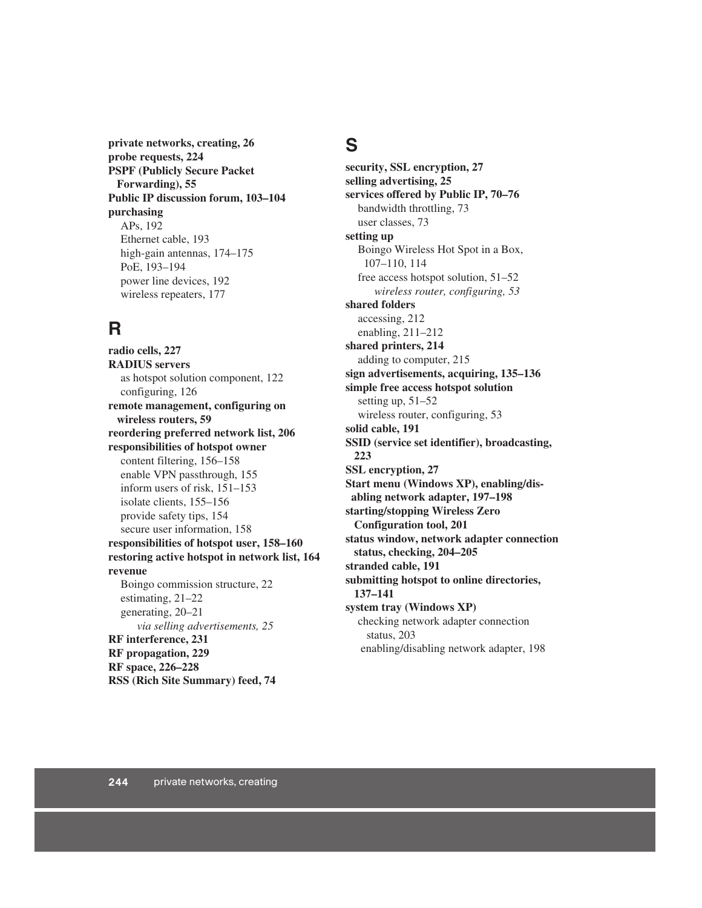**private networks, creating, 26 probe requests, 224 PSPF (Publicly Secure Packet Forwarding), 55 Public IP discussion forum, 103–104 purchasing** APs, 192 Ethernet cable, 193 high-gain antennas, 174–175 PoE, 193–194 power line devices, 192 wireless repeaters, 177

#### **R**

**radio cells, 227 RADIUS servers** as hotspot solution component, 122 configuring, 126 **remote management, configuring on wireless routers, 59 reordering preferred network list, 206 responsibilities of hotspot owner** content filtering, 156–158 enable VPN passthrough, 155 inform users of risk, 151–153 isolate clients, 155–156 provide safety tips, 154 secure user information, 158 **responsibilities of hotspot user, 158–160 restoring active hotspot in network list, 164 revenue** Boingo commission structure, 22 estimating, 21–22 generating, 20–21 *via selling advertisements, 25* **RF interference, 231 RF propagation, 229 RF space, 226–228 RSS (Rich Site Summary) feed, 74**

#### **S**

**security, SSL encryption, 27 selling advertising, 25 services offered by Public IP, 70–76** bandwidth throttling, 73 user classes, 73 **setting up** Boingo Wireless Hot Spot in a Box, 107–110, 114 free access hotspot solution, 51–52 *wireless router, configuring, 53* **shared folders** accessing, 212 enabling, 211–212 **shared printers, 214** adding to computer, 215 **sign advertisements, acquiring, 135–136 simple free access hotspot solution** setting up, 51–52 wireless router, configuring, 53 **solid cable, 191 SSID (service set identifier), broadcasting, 223 SSL encryption, 27 Start menu (Windows XP), enabling/disabling network adapter, 197–198 starting/stopping Wireless Zero Configuration tool, 201 status window, network adapter connection status, checking, 204–205 stranded cable, 191 submitting hotspot to online directories, 137–141 system tray (Windows XP)** checking network adapter connection status, 203 enabling/disabling network adapter, 198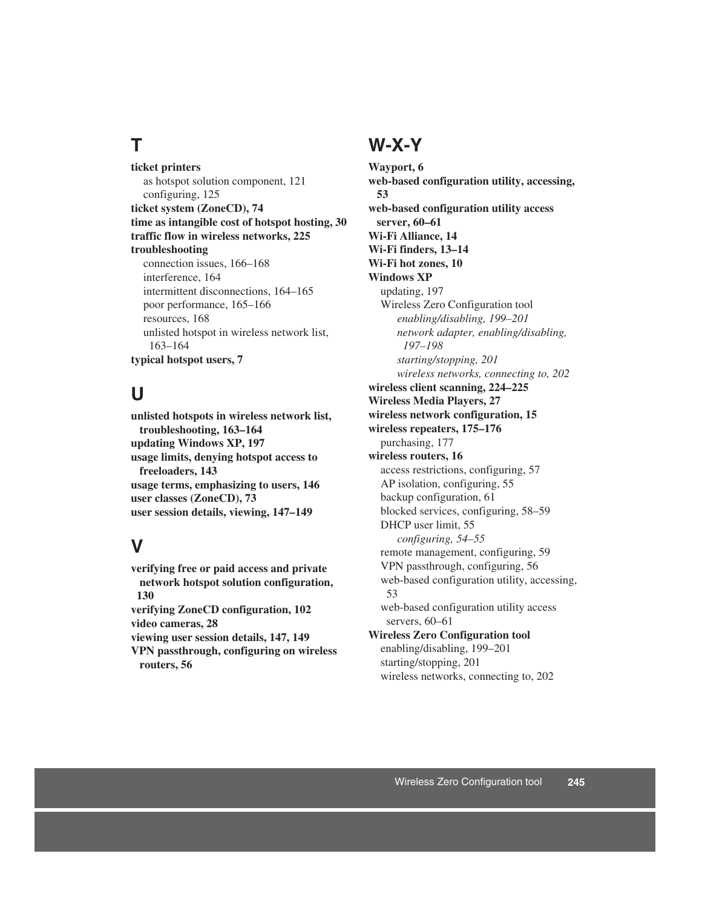### **T**

**ticket printers** as hotspot solution component, 121 configuring, 125 **ticket system (ZoneCD), 74 time as intangible cost of hotspot hosting, 30 traffic flow in wireless networks, 225 troubleshooting** connection issues, 166–168 interference, 164 intermittent disconnections, 164–165 poor performance, 165–166 resources, 168 unlisted hotspot in wireless network list, 163–164 **typical hotspot users, 7**

#### **U**

**unlisted hotspots in wireless network list, troubleshooting, 163–164 updating Windows XP, 197 usage limits, denying hotspot access to freeloaders, 143 usage terms, emphasizing to users, 146 user classes (ZoneCD), 73 user session details, viewing, 147–149**

#### **V**

**verifying free or paid access and private network hotspot solution configuration, 130 verifying ZoneCD configuration, 102 video cameras, 28 viewing user session details, 147, 149 VPN passthrough, configuring on wireless routers, 56**

#### **W-X-Y**

**Wayport, 6 web-based configuration utility, accessing, 53 web-based configuration utility access server, 60–61 Wi-Fi Alliance, 14 Wi-Fi finders, 13–14 Wi-Fi hot zones, 10 Windows XP** updating, 197 Wireless Zero Configuration tool *enabling/disabling, 199–201 network adapter, enabling/disabling, 197–198 starting/stopping, 201 wireless networks, connecting to, 202* **wireless client scanning, 224–225 Wireless Media Players, 27 wireless network configuration, 15 wireless repeaters, 175–176** purchasing, 177 **wireless routers, 16** access restrictions, configuring, 57 AP isolation, configuring, 55 backup configuration, 61 blocked services, configuring, 58–59 DHCP user limit, 55 *configuring, 54–55* remote management, configuring, 59 VPN passthrough, configuring, 56 web-based configuration utility, accessing, 53 web-based configuration utility access servers, 60–61 **Wireless Zero Configuration tool** enabling/disabling, 199–201 starting/stopping, 201 wireless networks, connecting to, 202